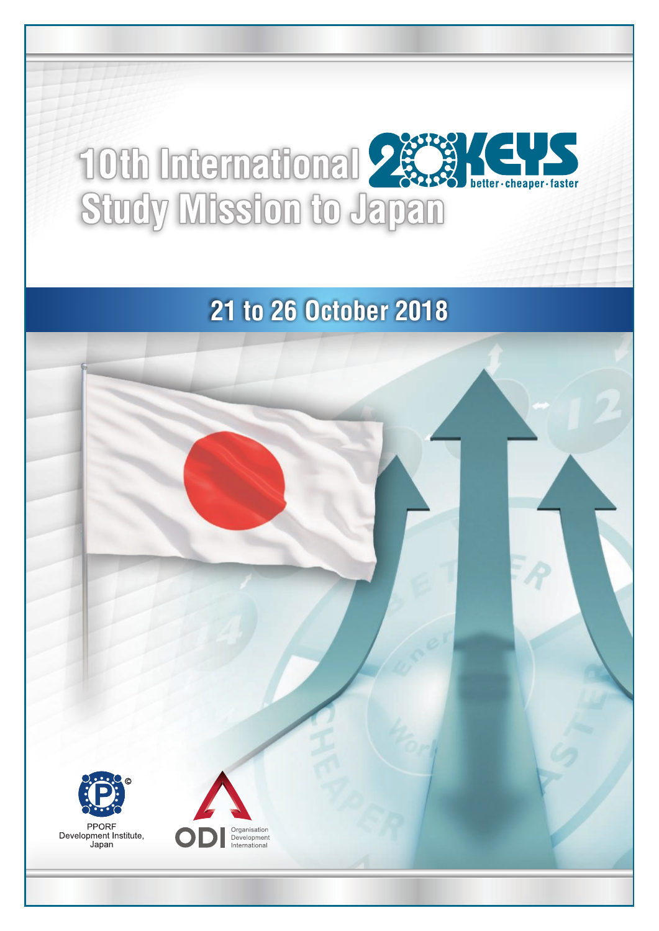# **10th International Parts**

## **21 to 26 October 2018**

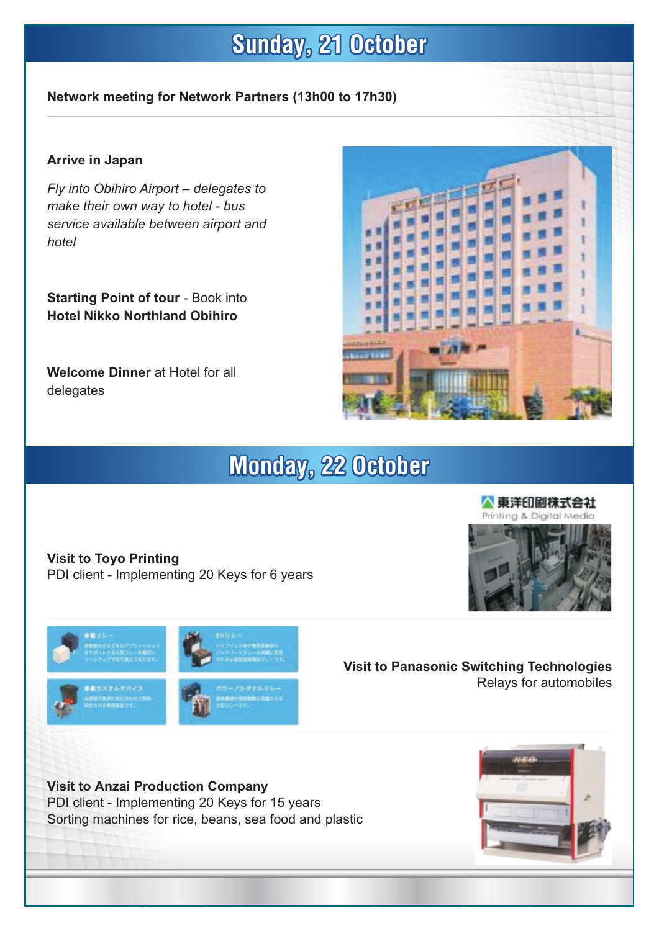## **Sunday, 21 October**

#### **Network meeting for Network Partners (13h00 to 17h30)**

#### **Arrive in Japan**

*Fly into Obihiro Airport – delegates to make their own way to hotel - bus service available between airport and hotel*

**Starting Point of tour** - Book into **Hotel Nikko Northland Obihiro**

**Welcome Dinner** at Hotel for all delegates



### **Monday, 22 October**

**Visit to Toyo Printing** PDI client - Implementing 20 Keys for 6 years



**Visit to Panasonic Switching Technologies** Relays for automobiles

**Visit to Anzai Production Company** PDI client - Implementing 20 Keys for 15 years Sorting machines for rice, beans, sea food and plastic



人東洋印刷株式会社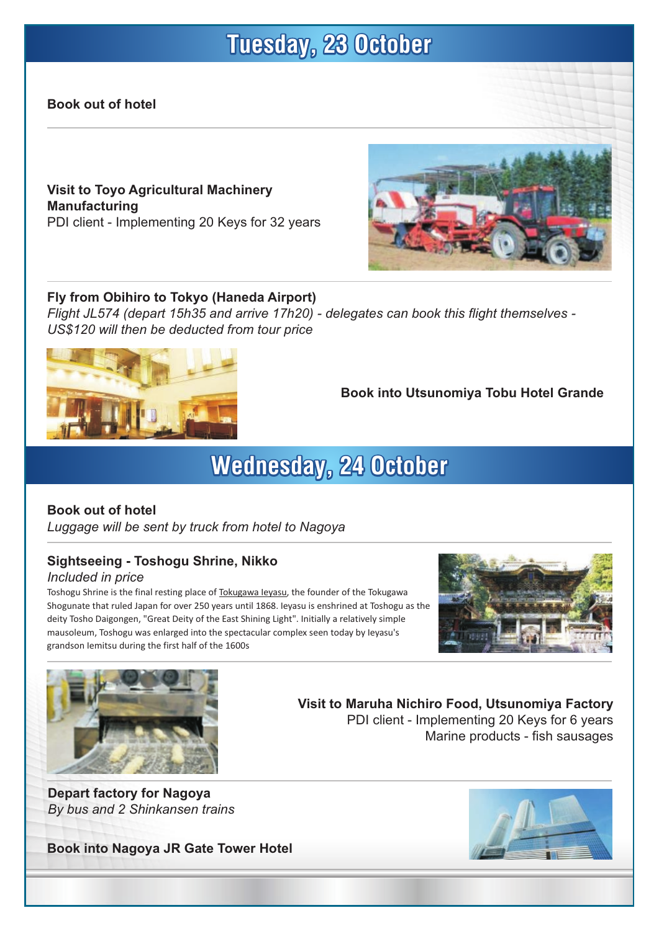## **Tuesday, 23 October**

#### **Book out of hotel**

**Visit to Toyo Agricultural Machinery Manufacturing** PDI client - Implementing 20 Keys for 32 years

#### **Fly from Obihiro to Tokyo (Haneda Airport)**

*Flight JL574 (depart 15h35 and arrive 17h20) - delegates can book this flight themselves - US\$120 will then be deducted from tour price*



**Book into Utsunomiya Tobu Hotel Grande**

**Visit to Maruha Nichiro Food, Utsunomiya Factory**

PDI client - Implementing 20 Keys for 6 years

## **Wednesday, 24 October**

#### **Book out of hotel**

*Luggage will be sent by truck from hotel to Nagoya*

#### **Sightseeing - Toshogu Shrine, Nikko**

#### *Included in price*

Toshogu Shrine is the final resting place of Tokugawa Ieyasu, the founder of the Tokugawa Shogunate that ruled Japan for over 250 years until 1868. Ieyasu is enshrined at Toshogu as the deity Tosho Daigongen, "Great Deity of the East Shining Light". Initially a relatively simple mausoleum, Toshogu was enlarged into the spectacular complex seen today by Ieyasu's grandson Iemitsu during the first half of the 1600s



Marine products - fish sausages



**Depart factory for Nagoya** *By bus and 2 Shinkansen trains*

**Book into Nagoya JR Gate Tower Hotel**



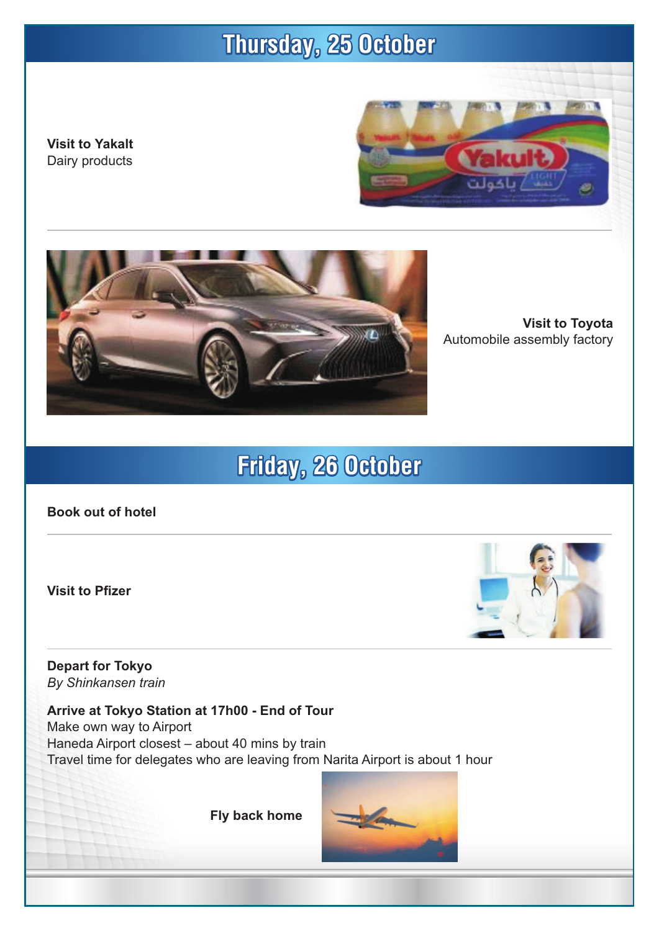## **Thursday, 25 October**

**Visit to Yakalt** Dairy products





**Visit to Toyota** Automobile assembly factory

## **Friday, 26 October**

**Book out of hotel**

**Visit to Pfizer**



**Depart for Tokyo** *By Shinkansen train*

**Arrive at Tokyo Station at 17h00 - End of Tour** Make own way to Airport Haneda Airport closest – about 40 mins by train Travel time for delegates who are leaving from Narita Airport is about 1 hour

**Fly back home**